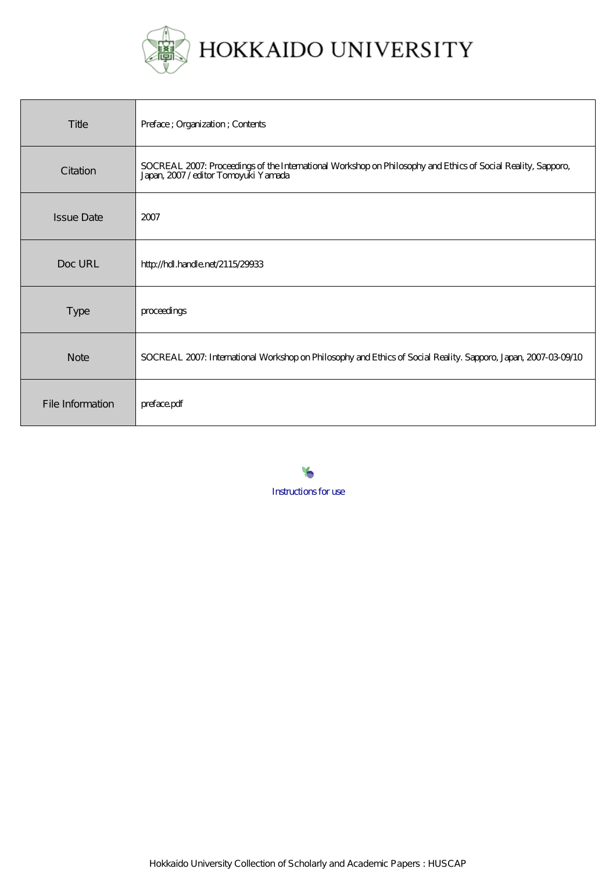

| Title             | Preface; Organization; Contents                                                                                                                 |
|-------------------|-------------------------------------------------------------------------------------------------------------------------------------------------|
| Citation          | SOCREAL 2007: Proceedings of the International Workshop on Philosophy and Ethics of Social Reality, Sapporo, Japan, 2007/editor Tomoyuki Yamada |
| <b>Issue Date</b> | 2007                                                                                                                                            |
| Doc URL           | http://hdl.handle.net/2115/29933                                                                                                                |
| <b>Type</b>       | proceedings                                                                                                                                     |
| <b>Note</b>       | SOCREAL 2007: International Workshop on Philosophy and Ethics of Social Reality. Sapporo, Japan, 2007-03-09/10                                  |
| File Information  | preface.pdf                                                                                                                                     |

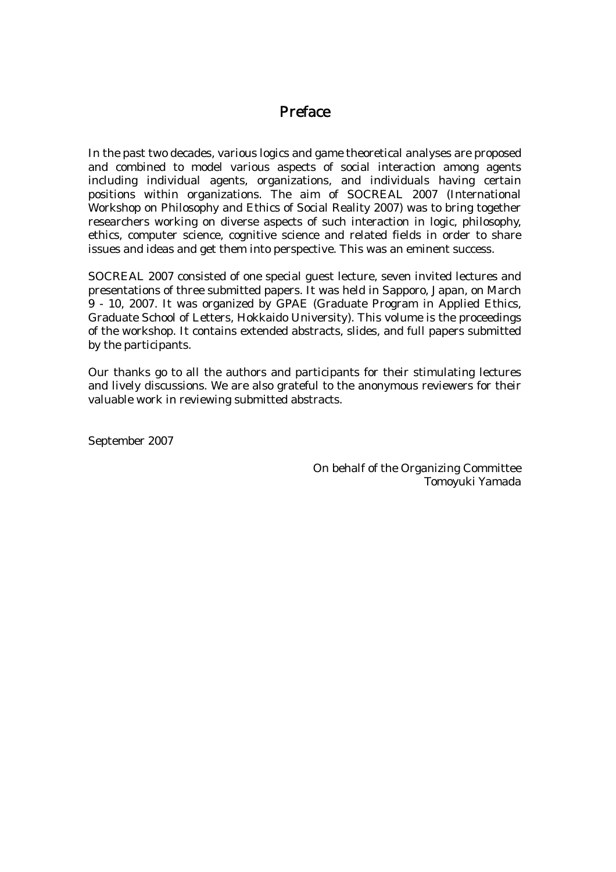### Preface

In the past two decades, various logics and game theoretical analyses are proposed and combined to model various aspects of social interaction among agents including individual agents, organizations, and individuals having certain positions within organizations. The aim of SOCREAL 2007 (International Workshop on Philosophy and Ethics of Social Reality 2007) was to bring together researchers working on diverse aspects of such interaction in logic, philosophy, ethics, computer science, cognitive science and related fields in order to share issues and ideas and get them into perspective. This was an eminent success.

SOCREAL 2007 consisted of one special guest lecture, seven invited lectures and presentations of three submitted papers. It was held in Sapporo, Japan, on March 9 - 10, 2007. It was organized by GPAE (Graduate Program in Applied Ethics, Graduate School of Letters, Hokkaido University). This volume is the proceedings of the workshop. It contains extended abstracts, slides, and full papers submitted by the participants.

Our thanks go to all the authors and participants for their stimulating lectures and lively discussions. We are also grateful to the anonymous reviewers for their valuable work in reviewing submitted abstracts.

September 2007

On behalf of the Organizing Committee Tomoyuki Yamada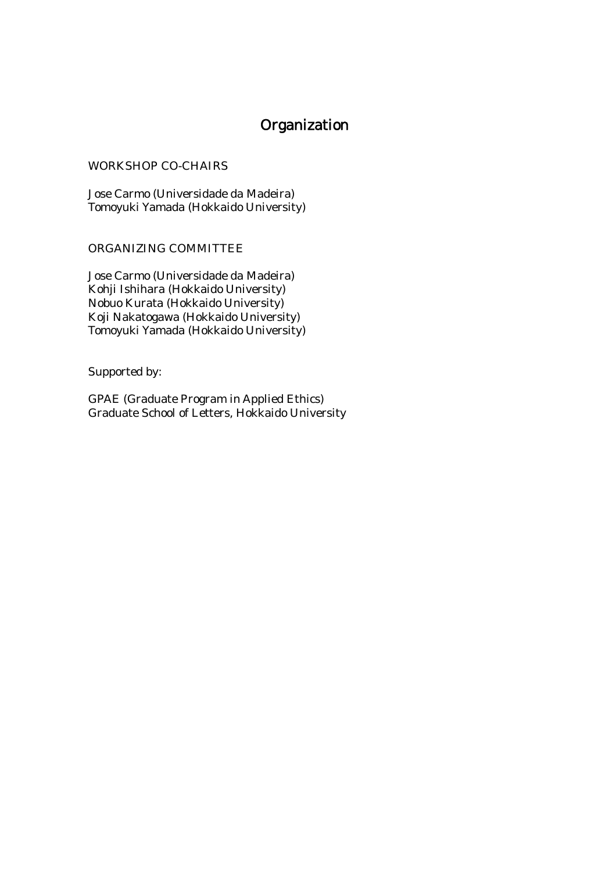# Organization

#### WORKSHOP CO-CHAIRS

Jose Carmo (Universidade da Madeira) Tomoyuki Yamada (Hokkaido University)

#### ORGANIZING COMMITTEE

Jose Carmo (Universidade da Madeira) Kohji Ishihara (Hokkaido University) Nobuo Kurata (Hokkaido University) Koji Nakatogawa (Hokkaido University) Tomoyuki Yamada (Hokkaido University)

Supported by:

GPAE (Graduate Program in Applied Ethics) Graduate School of Letters, Hokkaido University